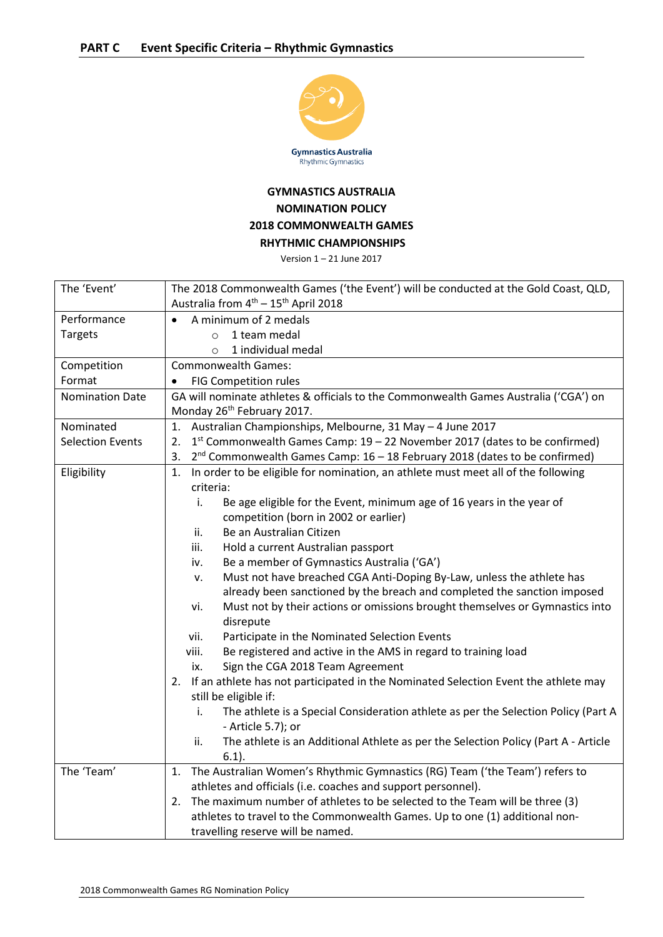

## **GYMNASTICS AUSTRALIA NOMINATION POLICY 2018 COMMONWEALTH GAMES RHYTHMIC CHAMPIONSHIPS**

Version 1 – 21 June 2017

| The 'Event'             | The 2018 Commonwealth Games ('the Event') will be conducted at the Gold Coast, QLD,                                                            |
|-------------------------|------------------------------------------------------------------------------------------------------------------------------------------------|
|                         | Australia from 4 <sup>th</sup> - 15 <sup>th</sup> April 2018                                                                                   |
| Performance             | A minimum of 2 medals                                                                                                                          |
| <b>Targets</b>          | 1 team medal<br>$\circ$                                                                                                                        |
|                         | 1 individual medal<br>$\circ$                                                                                                                  |
| Competition             | <b>Commonwealth Games:</b>                                                                                                                     |
| Format                  | <b>FIG Competition rules</b>                                                                                                                   |
| Nomination Date         | GA will nominate athletes & officials to the Commonwealth Games Australia ('CGA') on                                                           |
|                         | Monday 26 <sup>th</sup> February 2017.                                                                                                         |
| Nominated               | 1. Australian Championships, Melbourne, 31 May - 4 June 2017                                                                                   |
| <b>Selection Events</b> | 1st Commonwealth Games Camp: 19 - 22 November 2017 (dates to be confirmed)<br>2.                                                               |
|                         | $2^{nd}$ Commonwealth Games Camp: 16 - 18 February 2018 (dates to be confirmed)<br>3.                                                          |
| Eligibility             | In order to be eligible for nomination, an athlete must meet all of the following<br>1.                                                        |
|                         | criteria:                                                                                                                                      |
|                         | i.<br>Be age eligible for the Event, minimum age of 16 years in the year of                                                                    |
|                         | competition (born in 2002 or earlier)                                                                                                          |
|                         | Be an Australian Citizen<br>ii.                                                                                                                |
|                         | iii.<br>Hold a current Australian passport                                                                                                     |
|                         | Be a member of Gymnastics Australia ('GA')<br>iv.                                                                                              |
|                         | Must not have breached CGA Anti-Doping By-Law, unless the athlete has<br>ν.                                                                    |
|                         | already been sanctioned by the breach and completed the sanction imposed                                                                       |
|                         | Must not by their actions or omissions brought themselves or Gymnastics into<br>vi.<br>disrepute                                               |
|                         | Participate in the Nominated Selection Events<br>vii.                                                                                          |
|                         | viii.<br>Be registered and active in the AMS in regard to training load                                                                        |
|                         | Sign the CGA 2018 Team Agreement<br>ix.                                                                                                        |
|                         | 2. If an athlete has not participated in the Nominated Selection Event the athlete may                                                         |
|                         | still be eligible if:                                                                                                                          |
|                         | i.<br>The athlete is a Special Consideration athlete as per the Selection Policy (Part A                                                       |
|                         | - Article 5.7); or                                                                                                                             |
|                         | The athlete is an Additional Athlete as per the Selection Policy (Part A - Article<br>ii.                                                      |
|                         | $6.1$ ).                                                                                                                                       |
| The 'Team'              | 1. The Australian Women's Rhythmic Gymnastics (RG) Team ('the Team') refers to<br>athletes and officials (i.e. coaches and support personnel). |
|                         | 2. The maximum number of athletes to be selected to the Team will be three (3)                                                                 |
|                         | athletes to travel to the Commonwealth Games. Up to one (1) additional non-                                                                    |
|                         | travelling reserve will be named.                                                                                                              |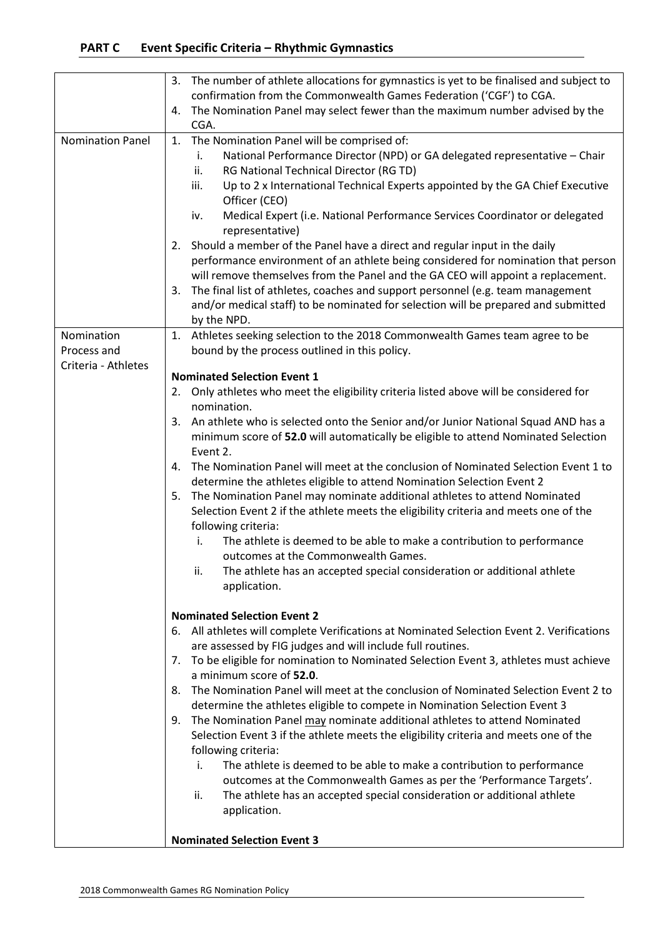|                           | The number of athlete allocations for gymnastics is yet to be finalised and subject to<br>3.<br>confirmation from the Commonwealth Games Federation ('CGF') to CGA.                                                                                                                                                                                                                                                                                                                                                                                                                                                                                                                                                                                                                                                                                                                                                                                                                                                                                                                                                                                                                                                                                                                                                                                                                                                                                                                                                                                                                                                                                                                                                                                                                                                                                                                                                                                  |
|---------------------------|------------------------------------------------------------------------------------------------------------------------------------------------------------------------------------------------------------------------------------------------------------------------------------------------------------------------------------------------------------------------------------------------------------------------------------------------------------------------------------------------------------------------------------------------------------------------------------------------------------------------------------------------------------------------------------------------------------------------------------------------------------------------------------------------------------------------------------------------------------------------------------------------------------------------------------------------------------------------------------------------------------------------------------------------------------------------------------------------------------------------------------------------------------------------------------------------------------------------------------------------------------------------------------------------------------------------------------------------------------------------------------------------------------------------------------------------------------------------------------------------------------------------------------------------------------------------------------------------------------------------------------------------------------------------------------------------------------------------------------------------------------------------------------------------------------------------------------------------------------------------------------------------------------------------------------------------------|
|                           | The Nomination Panel may select fewer than the maximum number advised by the<br>4.<br>CGA.                                                                                                                                                                                                                                                                                                                                                                                                                                                                                                                                                                                                                                                                                                                                                                                                                                                                                                                                                                                                                                                                                                                                                                                                                                                                                                                                                                                                                                                                                                                                                                                                                                                                                                                                                                                                                                                           |
| <b>Nomination Panel</b>   | The Nomination Panel will be comprised of:<br>1.<br>National Performance Director (NPD) or GA delegated representative - Chair<br>i.<br>RG National Technical Director (RG TD)<br>ii.<br>iii.<br>Up to 2 x International Technical Experts appointed by the GA Chief Executive<br>Officer (CEO)<br>Medical Expert (i.e. National Performance Services Coordinator or delegated<br>iv.<br>representative)<br>2. Should a member of the Panel have a direct and regular input in the daily<br>performance environment of an athlete being considered for nomination that person<br>will remove themselves from the Panel and the GA CEO will appoint a replacement.<br>The final list of athletes, coaches and support personnel (e.g. team management<br>3.<br>and/or medical staff) to be nominated for selection will be prepared and submitted<br>by the NPD.                                                                                                                                                                                                                                                                                                                                                                                                                                                                                                                                                                                                                                                                                                                                                                                                                                                                                                                                                                                                                                                                                      |
| Nomination<br>Process and | 1. Athletes seeking selection to the 2018 Commonwealth Games team agree to be<br>bound by the process outlined in this policy.                                                                                                                                                                                                                                                                                                                                                                                                                                                                                                                                                                                                                                                                                                                                                                                                                                                                                                                                                                                                                                                                                                                                                                                                                                                                                                                                                                                                                                                                                                                                                                                                                                                                                                                                                                                                                       |
| Criteria - Athletes       | <b>Nominated Selection Event 1</b><br>Only athletes who meet the eligibility criteria listed above will be considered for<br>2.<br>nomination.<br>An athlete who is selected onto the Senior and/or Junior National Squad AND has a<br>3.<br>minimum score of 52.0 will automatically be eligible to attend Nominated Selection<br>Event 2.<br>The Nomination Panel will meet at the conclusion of Nominated Selection Event 1 to<br>4.<br>determine the athletes eligible to attend Nomination Selection Event 2<br>The Nomination Panel may nominate additional athletes to attend Nominated<br>5.<br>Selection Event 2 if the athlete meets the eligibility criteria and meets one of the<br>following criteria:<br>The athlete is deemed to be able to make a contribution to performance<br>i.<br>outcomes at the Commonwealth Games.<br>The athlete has an accepted special consideration or additional athlete<br>н.<br>application.<br><b>Nominated Selection Event 2</b><br>All athletes will complete Verifications at Nominated Selection Event 2. Verifications<br>6.<br>are assessed by FIG judges and will include full routines.<br>To be eligible for nomination to Nominated Selection Event 3, athletes must achieve<br>7.<br>a minimum score of 52.0.<br>The Nomination Panel will meet at the conclusion of Nominated Selection Event 2 to<br>8.<br>determine the athletes eligible to compete in Nomination Selection Event 3<br>The Nomination Panel may nominate additional athletes to attend Nominated<br>9.<br>Selection Event 3 if the athlete meets the eligibility criteria and meets one of the<br>following criteria:<br>The athlete is deemed to be able to make a contribution to performance<br>i.<br>outcomes at the Commonwealth Games as per the 'Performance Targets'.<br>The athlete has an accepted special consideration or additional athlete<br>ii.<br>application.<br><b>Nominated Selection Event 3</b> |
|                           |                                                                                                                                                                                                                                                                                                                                                                                                                                                                                                                                                                                                                                                                                                                                                                                                                                                                                                                                                                                                                                                                                                                                                                                                                                                                                                                                                                                                                                                                                                                                                                                                                                                                                                                                                                                                                                                                                                                                                      |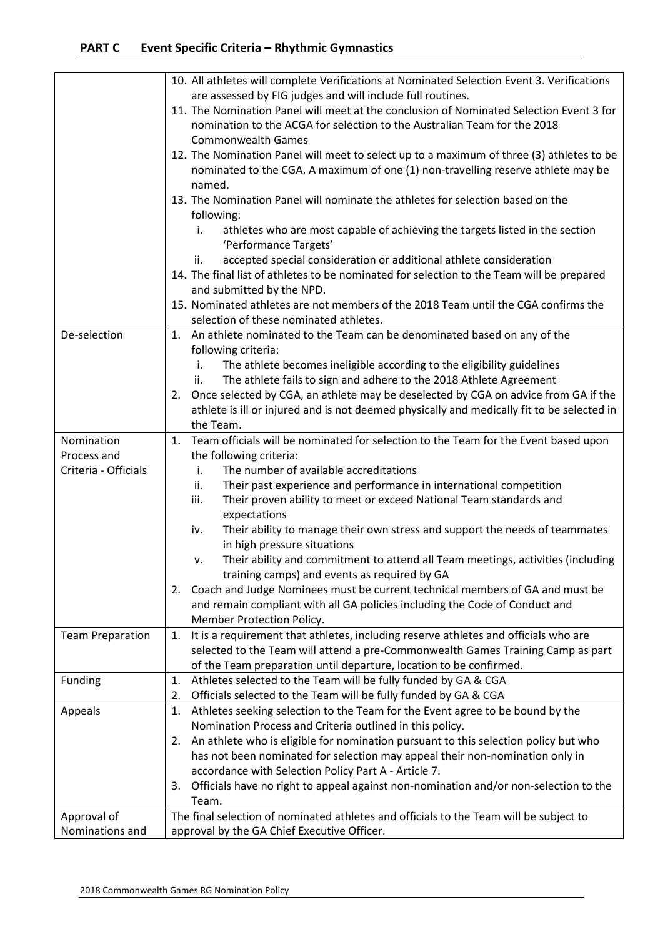## **PART C Event Specific Criteria – Rhythmic Gymnastics**

|                         | 10. All athletes will complete Verifications at Nominated Selection Event 3. Verifications                                                                |
|-------------------------|-----------------------------------------------------------------------------------------------------------------------------------------------------------|
|                         | are assessed by FIG judges and will include full routines.                                                                                                |
|                         | 11. The Nomination Panel will meet at the conclusion of Nominated Selection Event 3 for                                                                   |
|                         | nomination to the ACGA for selection to the Australian Team for the 2018<br><b>Commonwealth Games</b>                                                     |
|                         | 12. The Nomination Panel will meet to select up to a maximum of three (3) athletes to be                                                                  |
|                         | nominated to the CGA. A maximum of one (1) non-travelling reserve athlete may be                                                                          |
|                         | named.                                                                                                                                                    |
|                         | 13. The Nomination Panel will nominate the athletes for selection based on the                                                                            |
|                         | following:                                                                                                                                                |
|                         | i.<br>athletes who are most capable of achieving the targets listed in the section                                                                        |
|                         | 'Performance Targets'                                                                                                                                     |
|                         | accepted special consideration or additional athlete consideration<br>ii.                                                                                 |
|                         | 14. The final list of athletes to be nominated for selection to the Team will be prepared                                                                 |
|                         | and submitted by the NPD.                                                                                                                                 |
|                         | 15. Nominated athletes are not members of the 2018 Team until the CGA confirms the                                                                        |
|                         | selection of these nominated athletes.                                                                                                                    |
| De-selection            | An athlete nominated to the Team can be denominated based on any of the<br>1.                                                                             |
|                         | following criteria:                                                                                                                                       |
|                         | The athlete becomes ineligible according to the eligibility guidelines<br>i.<br>The athlete fails to sign and adhere to the 2018 Athlete Agreement<br>ii. |
|                         | Once selected by CGA, an athlete may be deselected by CGA on advice from GA if the<br>2.                                                                  |
|                         | athlete is ill or injured and is not deemed physically and medically fit to be selected in                                                                |
|                         | the Team.                                                                                                                                                 |
| Nomination              | Team officials will be nominated for selection to the Team for the Event based upon<br>1.                                                                 |
| Process and             | the following criteria:                                                                                                                                   |
| Criteria - Officials    | The number of available accreditations<br>i.                                                                                                              |
|                         | Their past experience and performance in international competition<br>ii.                                                                                 |
|                         | Their proven ability to meet or exceed National Team standards and<br>iii.                                                                                |
|                         | expectations                                                                                                                                              |
|                         | Their ability to manage their own stress and support the needs of teammates<br>iv.                                                                        |
|                         | in high pressure situations                                                                                                                               |
|                         | Their ability and commitment to attend all Team meetings, activities (including<br>۷.                                                                     |
|                         | training camps) and events as required by GA                                                                                                              |
|                         | Coach and Judge Nominees must be current technical members of GA and must be<br>2.                                                                        |
|                         | and remain compliant with all GA policies including the Code of Conduct and                                                                               |
|                         | Member Protection Policy.<br>It is a requirement that athletes, including reserve athletes and officials who are<br>1.                                    |
| <b>Team Preparation</b> | selected to the Team will attend a pre-Commonwealth Games Training Camp as part                                                                           |
|                         | of the Team preparation until departure, location to be confirmed.                                                                                        |
| Funding                 | Athletes selected to the Team will be fully funded by GA & CGA<br>1.                                                                                      |
|                         | Officials selected to the Team will be fully funded by GA & CGA<br>2.                                                                                     |
| Appeals                 | Athletes seeking selection to the Team for the Event agree to be bound by the<br>1.                                                                       |
|                         | Nomination Process and Criteria outlined in this policy.                                                                                                  |
|                         | An athlete who is eligible for nomination pursuant to this selection policy but who<br>2.                                                                 |
|                         | has not been nominated for selection may appeal their non-nomination only in                                                                              |
|                         | accordance with Selection Policy Part A - Article 7.                                                                                                      |
|                         | Officials have no right to appeal against non-nomination and/or non-selection to the<br>3.                                                                |
|                         | Team.                                                                                                                                                     |
| Approval of             | The final selection of nominated athletes and officials to the Team will be subject to                                                                    |
| Nominations and         | approval by the GA Chief Executive Officer.                                                                                                               |